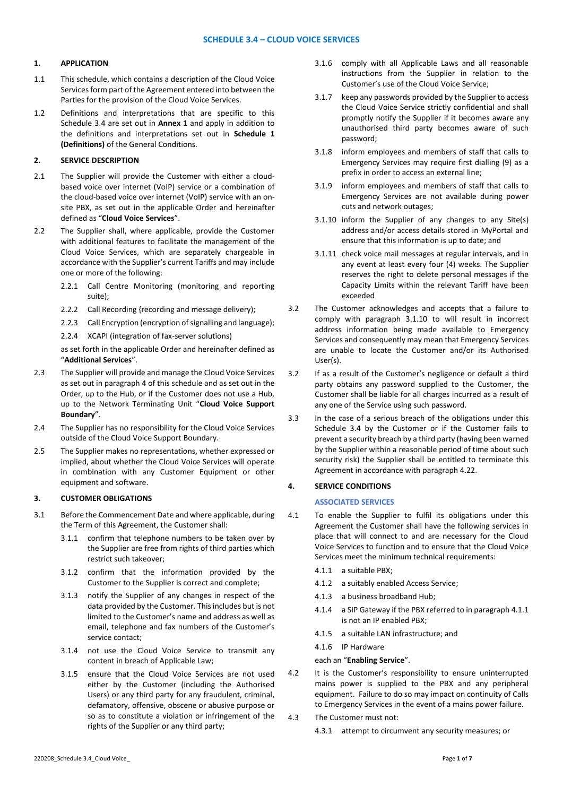## **1. APPLICATION**

- 1.1 This schedule, which contains a description of the Cloud Voice Services form part of the Agreement entered into between the Parties for the provision of the Cloud Voice Services.
- 1.2 Definitions and interpretations that are specific to this Schedule 3.4 are set out in **Annex 1** and apply in addition to the definitions and interpretations set out in **Schedule 1 (Definitions)** of the General Conditions.

# **2. SERVICE DESCRIPTION**

- 2.1 The Supplier will provide the Customer with either a cloudbased voice over internet (VoIP) service or a combination of the cloud-based voice over internet (VoIP) service with an onsite PBX, as set out in the applicable Order and hereinafter defined as "**Cloud Voice Services**".
- 2.2 The Supplier shall, where applicable, provide the Customer with additional features to facilitate the management of the Cloud Voice Services, which are separately chargeable in accordance with the Supplier's current Tariffs and may include one or more of the following:
	- 2.2.1 Call Centre Monitoring (monitoring and reporting suite);
	- 2.2.2 Call Recording {recording and message delivery);
	- 2.2.3 Call Encryption (encryption of signalling and language);
	- 2.2.4 XCAPI (integration of fax-server solutions)

as set forth in the applicable Order and hereinafter defined as "**Additional Services**".

- 2.3 The Supplier will provide and manage the Cloud Voice Services as set out in paragraph 4 of this schedule and as set out in the Order, up to the Hub, or if the Customer does not use a Hub, up to the Network Terminating Unit "**Cloud Voice Support Boundary**".
- 2.4 The Supplier has no responsibility for the Cloud Voice Services outside of the Cloud Voice Support Boundary.
- 2.5 The Supplier makes no representations, whether expressed or implied, about whether the Cloud Voice Services will operate in combination with any Customer Equipment or other equipment and software.

### **3. CUSTOMER OBLIGATIONS**

- 3.1 Before the Commencement Date and where applicable, during the Term of this Agreement, the Customer shall:
	- 3.1.1 confirm that telephone numbers to be taken over by the Supplier are free from rights of third parties which restrict such takeover;
	- 3.1.2 confirm that the information provided by the Customer to the Supplier is correct and complete;
	- 3.1.3 notify the Supplier of any changes in respect of the data provided by the Customer. This includes but is not limited to the Customer's name and address as well as email, telephone and fax numbers of the Customer's service contact;
	- 3.1.4 not use the Cloud Voice Service to transmit any content in breach of Applicable Law;
	- 3.1.5 ensure that the Cloud Voice Services are not used either by the Customer (including the Authorised Users) or any third party for any fraudulent, criminal, defamatory, offensive, obscene or abusive purpose or so as to constitute a violation or infringement of the rights of the Supplier or any third party;
- 3.1.6 comply with all Applicable Laws and all reasonable instructions from the Supplier in relation to the Customer's use of the Cloud Voice Service;
- 3.1.7 keep any passwords provided by the Supplier to access the Cloud Voice Service strictly confidential and shall promptly notify the Supplier if it becomes aware any unauthorised third party becomes aware of such password;
- 3.1.8 inform employees and members of staff that calls to Emergency Services may require first dialling (9) as a prefix in order to access an external line;
- 3.1.9 inform employees and members of staff that calls to Emergency Services are not available during power cuts and network outages;
- 3.1.10 inform the Supplier of any changes to any Site(s) address and/or access details stored in MyPortal and ensure that this information is up to date; and
- 3.1.11 check voice mail messages at regular intervals, and in any event at least every four (4) weeks. The Supplier reserves the right to delete personal messages if the Capacity Limits within the relevant Tariff have been exceeded
- 3.2 The Customer acknowledges and accepts that a failure to comply with paragraph 3.1.10 to will result in incorrect address information being made available to Emergency Services and consequently may mean that Emergency Services are unable to locate the Customer and/or its Authorised User(s).
- 3.2 If as a result of the Customer's negligence or default a third party obtains any password supplied to the Customer, the Customer shall be liable for all charges incurred as a result of any one of the Service using such password.
- 3.3 In the case of a serious breach of the obligations under this Schedule 3.4 by the Customer or if the Customer fails to prevent a security breach by a third party (having been warned by the Supplier within a reasonable period of time about such security risk) the Supplier shall be entitled to terminate this Agreement in accordance with paragraph 4.22.

### **4. SERVICE CONDITIONS**

## **ASSOCIATED SERVICES**

- 4.1 To enable the Supplier to fulfil its obligations under this Agreement the Customer shall have the following services in place that will connect to and are necessary for the Cloud Voice Services to function and to ensure that the Cloud Voice Services meet the minimum technical requirements:
	- 4.1.1 a suitable PBX;
	- 4.1.2 a suitably enabled Access Service;
	- 4.1.3 a business broadband Hub;
	- 4.1.4 a SIP Gateway if the PBX referred to in paragraph 4.1.1 is not an IP enabled PBX;
	- 4.1.5 a suitable LAN infrastructure; and
	- 4.1.6 IP Hardware

### each an "**Enabling Service**".

- 4.2 It is the Customer's responsibility to ensure uninterrupted mains power is supplied to the PBX and any peripheral equipment. Failure to do so may impact on continuity of Calls to Emergency Services in the event of a mains power failure.
- 4.3 The Customer must not:
	- 4.3.1 attempt to circumvent any security measures; or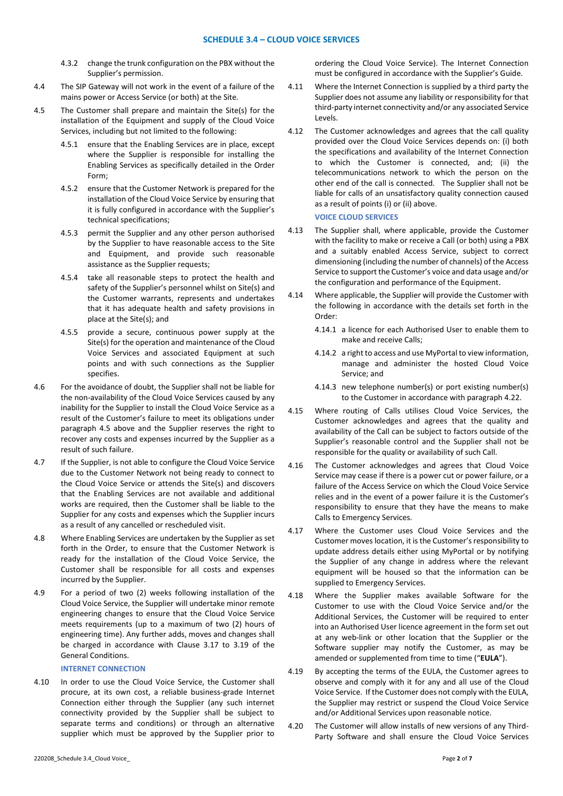- 4.3.2 change the trunk configuration on the PBX without the Supplier's permission.
- 4.4 The SIP Gateway will not work in the event of a failure of the mains power or Access Service (or both) at the Site.
- 4.5 The Customer shall prepare and maintain the Site(s) for the installation of the Equipment and supply of the Cloud Voice Services, including but not limited to the following:
	- 4.5.1 ensure that the Enabling Services are in place, except where the Supplier is responsible for installing the Enabling Services as specifically detailed in the Order Form;
	- 4.5.2 ensure that the Customer Network is prepared for the installation of the Cloud Voice Service by ensuring that it is fully configured in accordance with the Supplier's technical specifications;
	- 4.5.3 permit the Supplier and any other person authorised by the Supplier to have reasonable access to the Site and Equipment, and provide such reasonable assistance as the Supplier requests;
	- 4.5.4 take all reasonable steps to protect the health and safety of the Supplier's personnel whilst on Site(s) and the Customer warrants, represents and undertakes that it has adequate health and safety provisions in place at the Site(s); and
	- 4.5.5 provide a secure, continuous power supply at the Site(s) for the operation and maintenance of the Cloud Voice Services and associated Equipment at such points and with such connections as the Supplier specifies.
- 4.6 For the avoidance of doubt, the Supplier shall not be liable for the non-availability of the Cloud Voice Services caused by any inability for the Supplier to install the Cloud Voice Service as a result of the Customer's failure to meet its obligations under paragraph 4.5 above and the Supplier reserves the right to recover any costs and expenses incurred by the Supplier as a result of such failure.
- 4.7 If the Supplier, is not able to configure the Cloud Voice Service due to the Customer Network not being ready to connect to the Cloud Voice Service or attends the Site(s) and discovers that the Enabling Services are not available and additional works are required, then the Customer shall be liable to the Supplier for any costs and expenses which the Supplier incurs as a result of any cancelled or rescheduled visit.
- 4.8 Where Enabling Services are undertaken by the Supplier as set forth in the Order, to ensure that the Customer Network is ready for the installation of the Cloud Voice Service, the Customer shall be responsible for all costs and expenses incurred by the Supplier.
- 4.9 For a period of two (2) weeks following installation of the Cloud Voice Service, the Supplier will undertake minor remote engineering changes to ensure that the Cloud Voice Service meets requirements (up to a maximum of two (2) hours of engineering time). Any further adds, moves and changes shall be charged in accordance with Clause 3.17 to 3.19 of the General Conditions.

## **INTERNET CONNECTION**

4.10 In order to use the Cloud Voice Service, the Customer shall procure, at its own cost, a reliable business-grade Internet Connection either through the Supplier (any such internet connectivity provided by the Supplier shall be subject to separate terms and conditions) or through an alternative supplier which must be approved by the Supplier prior to

220208\_Schedule 3.4\_Cloud Voice\_ Page **2** of **7**

ordering the Cloud Voice Service). The Internet Connection must be configured in accordance with the Supplier's Guide.

- 4.11 Where the Internet Connection is supplied by a third party the Supplier does not assume any liability or responsibility for that third-party internet connectivity and/or any associated Service Levels.
- 4.12 The Customer acknowledges and agrees that the call quality provided over the Cloud Voice Services depends on: (i) both the specifications and availability of the Internet Connection to which the Customer is connected, and; (ii) the telecommunications network to which the person on the other end of the call is connected. The Supplier shall not be liable for calls of an unsatisfactory quality connection caused as a result of points (i) or (ii) above.

#### **VOICE CLOUD SERVICES**

- 4.13 The Supplier shall, where applicable, provide the Customer with the facility to make or receive a Call (or both) using a PBX and a suitably enabled Access Service, subject to correct dimensioning (including the number of channels) of the Access Service to support the Customer's voice and data usage and/or the configuration and performance of the Equipment.
- 4.14 Where applicable, the Supplier will provide the Customer with the following in accordance with the details set forth in the Order:
	- 4.14.1 a licence for each Authorised User to enable them to make and receive Calls;
	- 4.14.2 a right to access and use MyPortal to view information, manage and administer the hosted Cloud Voice Service; and
	- 4.14.3 new telephone number(s) or port existing number(s) to the Customer in accordance with paragraph 4.22.
- 4.15 Where routing of Calls utilises Cloud Voice Services, the Customer acknowledges and agrees that the quality and availability of the Call can be subject to factors outside of the Supplier's reasonable control and the Supplier shall not be responsible for the quality or availability of such Call.
- 4.16 The Customer acknowledges and agrees that Cloud Voice Service may cease if there is a power cut or power failure, or a failure of the Access Service on which the Cloud Voice Service relies and in the event of a power failure it is the Customer's responsibility to ensure that they have the means to make Calls to Emergency Services.
- 4.17 Where the Customer uses Cloud Voice Services and the Customer moves location, it is the Customer's responsibility to update address details either using MyPortal or by notifying the Supplier of any change in address where the relevant equipment will be housed so that the information can be supplied to Emergency Services.
- 4.18 Where the Supplier makes available Software for the Customer to use with the Cloud Voice Service and/or the Additional Services, the Customer will be required to enter into an Authorised User licence agreement in the form set out at any web-link or other location that the Supplier or the Software supplier may notify the Customer, as may be amended or supplemented from time to time ("**EULA**").
- 4.19 By accepting the terms of the EULA, the Customer agrees to observe and comply with it for any and all use of the Cloud Voice Service. If the Customer does not comply with the EULA, the Supplier may restrict or suspend the Cloud Voice Service and/or Additional Services upon reasonable notice.
- 4.20 The Customer will allow installs of new versions of any Third-Party Software and shall ensure the Cloud Voice Services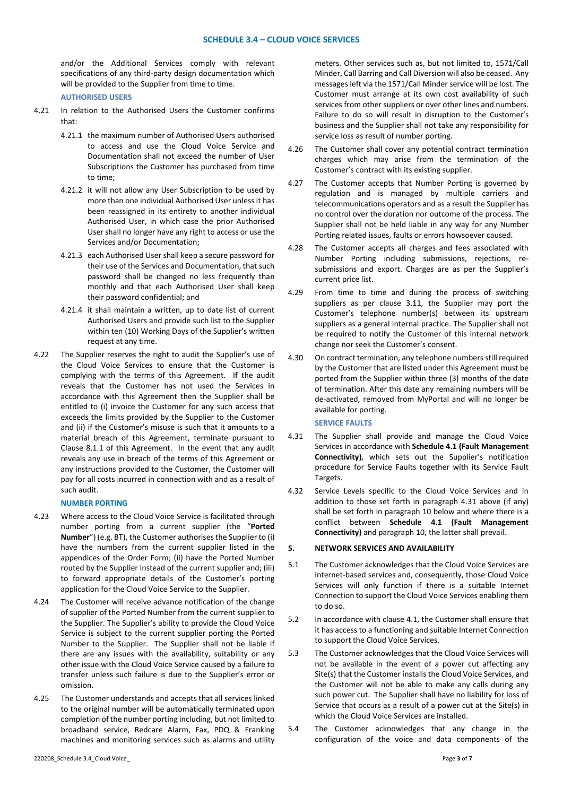and/or the Additional Services comply with relevant specifications of any third-party design documentation which will be provided to the Supplier from time to time.

**AUTHORISED USERS**

- 4.21 In relation to the Authorised Users the Customer confirms that:
	- 4.21.1 the maximum number of Authorised Users authorised to access and use the Cloud Voice Service and Documentation shall not exceed the number of User Subscriptions the Customer has purchased from time to time;
	- 4.21.2 it will not allow any User Subscription to be used by more than one individual Authorised User unless it has been reassigned in its entirety to another individual Authorised User, in which case the prior Authorised User shall no longer have any right to access or use the Services and/or Documentation;
	- 4.21.3 each Authorised User shall keep a secure password for their use of the Services and Documentation, that such password shall be changed no less frequently than monthly and that each Authorised User shall keep their password confidential; and
	- 4.21.4 it shall maintain a written, up to date list of current Authorised Users and provide such list to the Supplier within ten (10) Working Days of the Supplier's written request at any time.
- 4.22 The Supplier reserves the right to audit the Supplier's use of the Cloud Voice Services to ensure that the Customer is complying with the terms of this Agreement. If the audit reveals that the Customer has not used the Services in accordance with this Agreement then the Supplier shall be entitled to (i) invoice the Customer for any such access that exceeds the limits provided by the Supplier to the Customer and (ii) if the Customer's misuse is such that it amounts to a material breach of this Agreement, terminate pursuant to Clause 8.1.1 of this Agreement. In the event that any audit reveals any use in breach of the terms of this Agreement or any instructions provided to the Customer, the Customer will pay for all costs incurred in connection with and as a result of such audit.

## **NUMBER PORTING**

- 4.23 Where access to the Cloud Voice Service is facilitated through number porting from a current supplier (the "**Ported Number**") (e.g. BT), the Customer authorises the Supplier to (i) have the numbers from the current supplier listed in the appendices of the Order Form; (ii) have the Ported Number routed by the Supplier instead of the current supplier and; (iii) to forward appropriate details of the Customer's porting application for the Cloud Voice Service to the Supplier.
- 4.24 The Customer will receive advance notification of the change of supplier of the Ported Number from the current supplier to the Supplier. The Supplier's ability to provide the Cloud Voice Service is subject to the current supplier porting the Ported Number to the Supplier. The Supplier shall not be liable if there are any issues with the availability, suitability or any other issue with the Cloud Voice Service caused by a failure to transfer unless such failure is due to the Supplier's error or omission.
- 4.25 The Customer understands and accepts that all services linked to the original number will be automatically terminated upon completion of the number porting including, but not limited to broadband service, Redcare Alarm, Fax, PDQ & Franking machines and monitoring services such as alarms and utility
- 4.26 The Customer shall cover any potential contract termination charges which may arise from the termination of the Customer's contract with its existing supplier.
- 4.27 The Customer accepts that Number Porting is governed by regulation and is managed by multiple carriers and telecommunications operators and as a result the Supplier has no control over the duration nor outcome of the process. The Supplier shall not be held liable in any way for any Number Porting related issues, faults or errors howsoever caused.
- 4.28 The Customer accepts all charges and fees associated with Number Porting including submissions, rejections, resubmissions and export. Charges are as per the Supplier's current price list.
- 4.29 From time to time and during the process of switching suppliers as per clause 3.11, the Supplier may port the Customer's telephone number(s) between its upstream suppliers as a general internal practice. The Supplier shall not be required to notify the Customer of this internal network change nor seek the Customer's consent.
- 4.30 On contract termination, any telephone numbers still required by the Customer that are listed under this Agreement must be ported from the Supplier within three (3) months of the date of termination. After this date any remaining numbers will be de-activated, removed from MyPortal and will no longer be available for porting.

#### **SERVICE FAULTS**

- 4.31 The Supplier shall provide and manage the Cloud Voice Services in accordance with **Schedule 4.1 (Fault Management Connectivity)**, which sets out the Supplier's notification procedure for Service Faults together with its Service Fault Targets.
- 4.32 Service Levels specific to the Cloud Voice Services and in addition to those set forth in paragraph 4.31 above (if any) shall be set forth in paragraph 10 below and where there is a conflict between **Schedule 4.1 (Fault Management Connectivity)** and paragraph 10, the latter shall prevail.

### **5. NETWORK SERVICES AND AVAILABILITY**

- 5.1 The Customer acknowledges that the Cloud Voice Services are internet-based services and, consequently, those Cloud Voice Services will only function if there is a suitable Internet Connection to support the Cloud Voice Services enabling them to do so.
- 5.2 In accordance with clause 4.1, the Customer shall ensure that it has access to a functioning and suitable Internet Connection to support the Cloud Voice Services.
- 5.3 The Customer acknowledges that the Cloud Voice Services will not be available in the event of a power cut affecting any Site(s) that the Customer installs the Cloud Voice Services, and the Customer will not be able to make any calls during any such power cut. The Supplier shall have no liability for loss of Service that occurs as a result of a power cut at the Site(s) in which the Cloud Voice Services are installed.
- 5.4 The Customer acknowledges that any change in the configuration of the voice and data components of the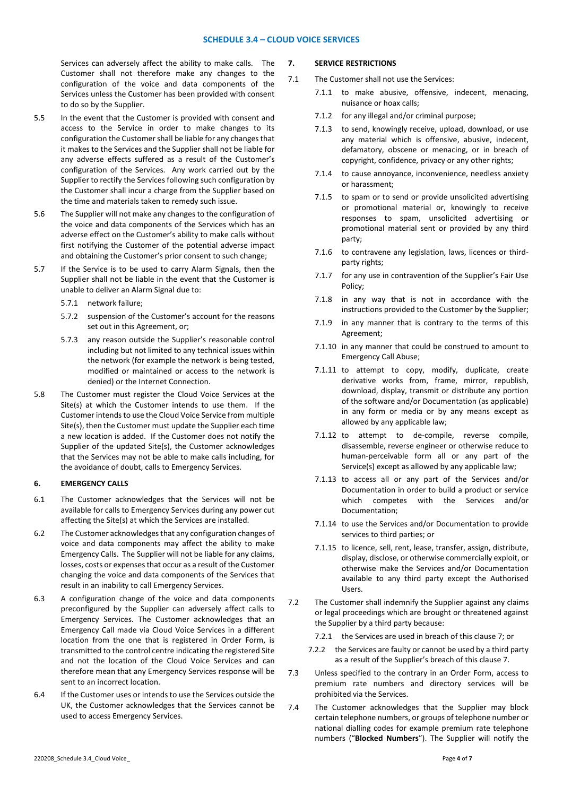Services can adversely affect the ability to make calls. The Customer shall not therefore make any changes to the configuration of the voice and data components of the Services unless the Customer has been provided with consent to do so by the Supplier.

- 5.5 In the event that the Customer is provided with consent and access to the Service in order to make changes to its configuration the Customer shall be liable for any changes that it makes to the Services and the Supplier shall not be liable for any adverse effects suffered as a result of the Customer's configuration of the Services. Any work carried out by the Supplier to rectify the Services following such configuration by the Customer shall incur a charge from the Supplier based on the time and materials taken to remedy such issue.
- 5.6 The Supplier will not make any changes to the configuration of the voice and data components of the Services which has an adverse effect on the Customer's ability to make calls without first notifying the Customer of the potential adverse impact and obtaining the Customer's prior consent to such change;
- 5.7 If the Service is to be used to carry Alarm Signals, then the Supplier shall not be liable in the event that the Customer is unable to deliver an Alarm Signal due to:
	- 5.7.1 network failure;
	- 5.7.2 suspension of the Customer's account for the reasons set out in this Agreement, or;
	- 5.7.3 any reason outside the Supplier's reasonable control including but not limited to any technical issues within the network (for example the network is being tested, modified or maintained or access to the network is denied) or the Internet Connection.
- 5.8 The Customer must register the Cloud Voice Services at the Site(s) at which the Customer intends to use them. If the Customer intends to use the Cloud Voice Service from multiple Site(s), then the Customer must update the Supplier each time a new location is added. If the Customer does not notify the Supplier of the updated Site(s), the Customer acknowledges that the Services may not be able to make calls including, for the avoidance of doubt, calls to Emergency Services.

## **6. EMERGENCY CALLS**

- 6.1 The Customer acknowledges that the Services will not be available for calls to Emergency Services during any power cut affecting the Site(s) at which the Services are installed.
- 6.2 The Customer acknowledges that any configuration changes of voice and data components may affect the ability to make Emergency Calls. The Supplier will not be liable for any claims, losses, costs or expenses that occur as a result of the Customer changing the voice and data components of the Services that result in an inability to call Emergency Services.
- 6.3 A configuration change of the voice and data components preconfigured by the Supplier can adversely affect calls to Emergency Services. The Customer acknowledges that an Emergency Call made via Cloud Voice Services in a different location from the one that is registered in Order Form, is transmitted to the control centre indicating the registered Site and not the location of the Cloud Voice Services and can therefore mean that any Emergency Services response will be sent to an incorrect location.
- 6.4 If the Customer uses or intends to use the Services outside the UK, the Customer acknowledges that the Services cannot be used to access Emergency Services.

# **7. SERVICE RESTRICTIONS**

- 7.1 The Customer shall not use the Services:
	- 7.1.1 to make abusive, offensive, indecent, menacing, nuisance or hoax calls;
	- 7.1.2 for any illegal and/or criminal purpose;
	- 7.1.3 to send, knowingly receive, upload, download, or use any material which is offensive, abusive, indecent, defamatory, obscene or menacing, or in breach of copyright, confidence, privacy or any other rights;
	- 7.1.4 to cause annoyance, inconvenience, needless anxiety or harassment;
	- 7.1.5 to spam or to send or provide unsolicited advertising or promotional material or, knowingly to receive responses to spam, unsolicited advertising or promotional material sent or provided by any third party;
	- 7.1.6 to contravene any legislation, laws, licences or thirdparty rights;
	- 7.1.7 for any use in contravention of the Supplier's Fair Use Policy;
	- 7.1.8 in any way that is not in accordance with the instructions provided to the Customer by the Supplier;
	- 7.1.9 in any manner that is contrary to the terms of this Agreement;
	- 7.1.10 in any manner that could be construed to amount to Emergency Call Abuse;
	- 7.1.11 to attempt to copy, modify, duplicate, create derivative works from, frame, mirror, republish, download, display, transmit or distribute any portion of the software and/or Documentation (as applicable) in any form or media or by any means except as allowed by any applicable law;
	- 7.1.12 to attempt to de-compile, reverse compile, disassemble, reverse engineer or otherwise reduce to human-perceivable form all or any part of the Service(s) except as allowed by any applicable law;
	- 7.1.13 to access all or any part of the Services and/or Documentation in order to build a product or service which competes with the Services and/or Documentation;
	- 7.1.14 to use the Services and/or Documentation to provide services to third parties; or
	- 7.1.15 to licence, sell, rent, lease, transfer, assign, distribute, display, disclose, or otherwise commercially exploit, or otherwise make the Services and/or Documentation available to any third party except the Authorised Users.
- 7.2 The Customer shall indemnify the Supplier against any claims or legal proceedings which are brought or threatened against the Supplier by a third party because:
	- 7.2.1 the Services are used in breach of this clause 7; or
	- 7.2.2 the Services are faulty or cannot be used by a third party as a result of the Supplier's breach of this clause 7.
- 7.3 Unless specified to the contrary in an Order Form, access to premium rate numbers and directory services will be prohibited via the Services.
- 7.4 The Customer acknowledges that the Supplier may block certain telephone numbers, or groups of telephone number or national dialling codes for example premium rate telephone numbers ("**Blocked Numbers**"). The Supplier will notify the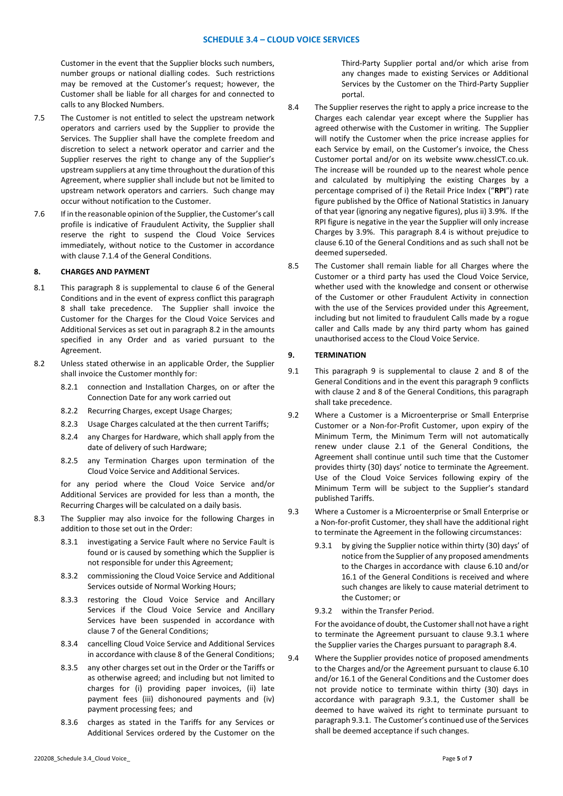Customer in the event that the Supplier blocks such numbers, number groups or national dialling codes. Such restrictions may be removed at the Customer's request; however, the Customer shall be liable for all charges for and connected to calls to any Blocked Numbers.

- 7.5 The Customer is not entitled to select the upstream network operators and carriers used by the Supplier to provide the Services. The Supplier shall have the complete freedom and discretion to select a network operator and carrier and the Supplier reserves the right to change any of the Supplier's upstream suppliers at any time throughout the duration of this Agreement, where supplier shall include but not be limited to upstream network operators and carriers. Such change may occur without notification to the Customer.
- 7.6 If in the reasonable opinion of the Supplier, the Customer's call profile is indicative of Fraudulent Activity, the Supplier shall reserve the right to suspend the Cloud Voice Services immediately, without notice to the Customer in accordance with clause 7.1.4 of the General Conditions.

### **8. CHARGES AND PAYMENT**

- 8.1 This paragraph 8 is supplemental to clause 6 of the General Conditions and in the event of express conflict this paragraph 8 shall take precedence. The Supplier shall invoice the Customer for the Charges for the Cloud Voice Services and Additional Services as set out in paragraph 8.2 in the amounts specified in any Order and as varied pursuant to the Agreement.
- 8.2 Unless stated otherwise in an applicable Order, the Supplier shall invoice the Customer monthly for:
	- 8.2.1 connection and Installation Charges, on or after the Connection Date for any work carried out
	- 8.2.2 Recurring Charges, except Usage Charges;
	- 8.2.3 Usage Charges calculated at the then current Tariffs;
	- 8.2.4 any Charges for Hardware, which shall apply from the date of delivery of such Hardware;
	- 8.2.5 any Termination Charges upon termination of the Cloud Voice Service and Additional Services.

for any period where the Cloud Voice Service and/or Additional Services are provided for less than a month, the Recurring Charges will be calculated on a daily basis.

- 8.3 The Supplier may also invoice for the following Charges in addition to those set out in the Order:
	- 8.3.1 investigating a Service Fault where no Service Fault is found or is caused by something which the Supplier is not responsible for under this Agreement;
	- 8.3.2 commissioning the Cloud Voice Service and Additional Services outside of Normal Working Hours;
	- 8.3.3 restoring the Cloud Voice Service and Ancillary Services if the Cloud Voice Service and Ancillary Services have been suspended in accordance with clause 7 of the General Conditions;
	- 8.3.4 cancelling Cloud Voice Service and Additional Services in accordance with clause 8 of the General Conditions;
	- 8.3.5 any other charges set out in the Order or the Tariffs or as otherwise agreed; and including but not limited to charges for (i) providing paper invoices, (ii) late payment fees (iii) dishonoured payments and (iv) payment processing fees; and
	- 8.3.6 charges as stated in the Tariffs for any Services or Additional Services ordered by the Customer on the

Third-Party Supplier portal and/or which arise from any changes made to existing Services or Additional Services by the Customer on the Third-Party Supplier portal.

- 8.4 The Supplier reserves the right to apply a price increase to the Charges each calendar year except where the Supplier has agreed otherwise with the Customer in writing. The Supplier will notify the Customer when the price increase applies for each Service by email, on the Customer's invoice, the Chess Customer portal and/or on its website www.chessICT.co.uk. The increase will be rounded up to the nearest whole pence and calculated by multiplying the existing Charges by a percentage comprised of i) the Retail Price Index ("**RPI**") rate figure published by the Office of National Statistics in January of that year (ignoring any negative figures), plus ii) 3.9%. If the RPI figure is negative in the year the Supplier will only increase Charges by 3.9%. This paragraph 8.4 is without prejudice to clause 6.10 of the General Conditions and as such shall not be deemed superseded.
- 8.5 The Customer shall remain liable for all Charges where the Customer or a third party has used the Cloud Voice Service, whether used with the knowledge and consent or otherwise of the Customer or other Fraudulent Activity in connection with the use of the Services provided under this Agreement, including but not limited to fraudulent Calls made by a rogue caller and Calls made by any third party whom has gained unauthorised access to the Cloud Voice Service.

## **9. TERMINATION**

- 9.1 This paragraph 9 is supplemental to clause 2 and 8 of the General Conditions and in the event this paragraph 9 conflicts with clause 2 and 8 of the General Conditions, this paragraph shall take precedence.
- 9.2 Where a Customer is a Microenterprise or Small Enterprise Customer or a Non-for-Profit Customer, upon expiry of the Minimum Term, the Minimum Term will not automatically renew under clause 2.1 of the General Conditions, the Agreement shall continue until such time that the Customer provides thirty (30) days' notice to terminate the Agreement. Use of the Cloud Voice Services following expiry of the Minimum Term will be subject to the Supplier's standard published Tariffs.
- 9.3 Where a Customer is a Microenterprise or Small Enterprise or a Non-for-profit Customer, they shall have the additional right to terminate the Agreement in the following circumstances:
	- 9.3.1 by giving the Supplier notice within thirty (30) days' of notice from the Supplier of any proposed amendments to the Charges in accordance with clause 6.10 and/or 16.1 of the General Conditions is received and where such changes are likely to cause material detriment to the Customer; or
	- 9.3.2 within the Transfer Period.

For the avoidance of doubt, the Customer shall not have a right to terminate the Agreement pursuant to clause 9.3.1 where the Supplier varies the Charges pursuant to paragraph 8.4.

9.4 Where the Supplier provides notice of proposed amendments to the Charges and/or the Agreement pursuant to clause 6.10 and/or 16.1 of the General Conditions and the Customer does not provide notice to terminate within thirty (30) days in accordance with paragraph 9.3.1, the Customer shall be deemed to have waived its right to terminate pursuant to paragraph 9.3.1. The Customer's continued use of the Services shall be deemed acceptance if such changes.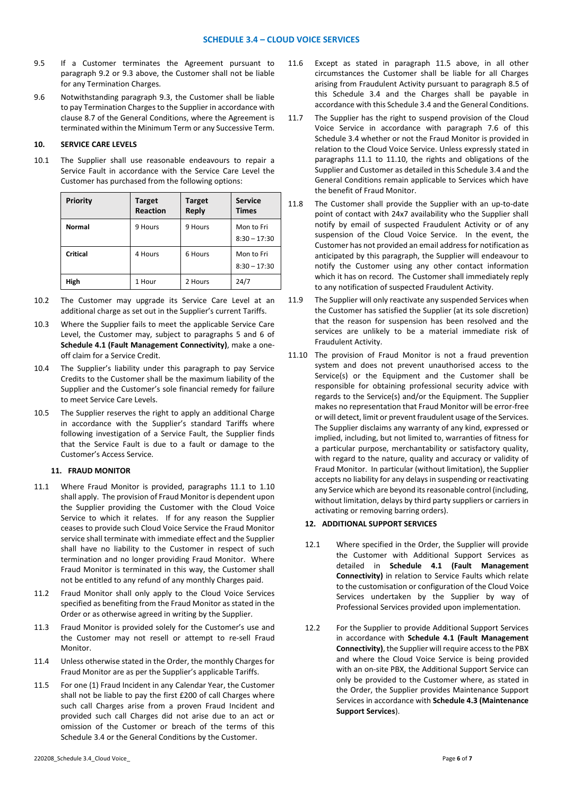- 9.5 If a Customer terminates the Agreement pursuant to paragraph 9.2 or 9.3 above, the Customer shall not be liable for any Termination Charges.
- 9.6 Notwithstanding paragraph 9.3, the Customer shall be liable to pay Termination Charges to the Supplier in accordance with clause 8.7 of the General Conditions, where the Agreement is terminated within the Minimum Term or any Successive Term.

## **10. SERVICE CARE LEVELS**

10.1 The Supplier shall use reasonable endeavours to repair a Service Fault in accordance with the Service Care Level the Customer has purchased from the following options:

| Priority | <b>Target</b><br><b>Reaction</b> | <b>Target</b><br><b>Reply</b> | <b>Service</b><br><b>Times</b> |
|----------|----------------------------------|-------------------------------|--------------------------------|
| Normal   | 9 Hours                          | 9 Hours                       | Mon to Fri<br>$8:30 - 17:30$   |
| Critical | 4 Hours                          | 6 Hours                       | Mon to Fri<br>$8:30 - 17:30$   |
| High     | 1 Hour                           | 2 Hours                       | 24/7                           |

- 10.2 The Customer may upgrade its Service Care Level at an additional charge as set out in the Supplier's current Tariffs.
- 10.3 Where the Supplier fails to meet the applicable Service Care Level, the Customer may, subject to paragraphs 5 and 6 of **Schedule 4.1 (Fault Management Connectivity)**, make a oneoff claim for a Service Credit.
- 10.4 The Supplier's liability under this paragraph to pay Service Credits to the Customer shall be the maximum liability of the Supplier and the Customer's sole financial remedy for failure to meet Service Care Levels.
- 10.5 The Supplier reserves the right to apply an additional Charge in accordance with the Supplier's standard Tariffs where following investigation of a Service Fault, the Supplier finds that the Service Fault is due to a fault or damage to the Customer's Access Service.

# **11. FRAUD MONITOR**

- 11.1 Where Fraud Monitor is provided, paragraphs 11.1 to 1.10 shall apply. The provision of Fraud Monitor is dependent upon the Supplier providing the Customer with the Cloud Voice Service to which it relates. If for any reason the Supplier ceases to provide such Cloud Voice Service the Fraud Monitor service shall terminate with immediate effect and the Supplier shall have no liability to the Customer in respect of such termination and no longer providing Fraud Monitor. Where Fraud Monitor is terminated in this way, the Customer shall not be entitled to any refund of any monthly Charges paid.
- 11.2 Fraud Monitor shall only apply to the Cloud Voice Services specified as benefiting from the Fraud Monitor as stated in the Order or as otherwise agreed in writing by the Supplier.
- 11.3 Fraud Monitor is provided solely for the Customer's use and the Customer may not resell or attempt to re-sell Fraud Monitor.
- 11.4 Unless otherwise stated in the Order, the monthly Charges for Fraud Monitor are as per the Supplier's applicable Tariffs.
- 11.5 For one (1) Fraud Incident in any Calendar Year, the Customer shall not be liable to pay the first £200 of call Charges where such call Charges arise from a proven Fraud Incident and provided such call Charges did not arise due to an act or omission of the Customer or breach of the terms of this Schedule 3.4 or the General Conditions by the Customer.
- 11.6 Except as stated in paragraph 11.5 above, in all other circumstances the Customer shall be liable for all Charges arising from Fraudulent Activity pursuant to paragraph 8.5 of this Schedule 3.4 and the Charges shall be payable in accordance with this Schedule 3.4 and the General Conditions.
- 11.7 The Supplier has the right to suspend provision of the Cloud Voice Service in accordance with paragraph 7.6 of this Schedule 3.4 whether or not the Fraud Monitor is provided in relation to the Cloud Voice Service. Unless expressly stated in paragraphs 11.1 to 11.10, the rights and obligations of the Supplier and Customer as detailed in this Schedule 3.4 and the General Conditions remain applicable to Services which have the benefit of Fraud Monitor.
- 11.8 The Customer shall provide the Supplier with an up-to-date point of contact with 24x7 availability who the Supplier shall notify by email of suspected Fraudulent Activity or of any suspension of the Cloud Voice Service. In the event, the Customer has not provided an email address for notification as anticipated by this paragraph, the Supplier will endeavour to notify the Customer using any other contact information which it has on record. The Customer shall immediately reply to any notification of suspected Fraudulent Activity.
- 11.9 The Supplier will only reactivate any suspended Services when the Customer has satisfied the Supplier (at its sole discretion) that the reason for suspension has been resolved and the services are unlikely to be a material immediate risk of Fraudulent Activity.
- 11.10 The provision of Fraud Monitor is not a fraud prevention system and does not prevent unauthorised access to the Service(s) or the Equipment and the Customer shall be responsible for obtaining professional security advice with regards to the Service(s) and/or the Equipment. The Supplier makes no representation that Fraud Monitor will be error-free or will detect, limit or prevent fraudulent usage of the Services. The Supplier disclaims any warranty of any kind, expressed or implied, including, but not limited to, warranties of fitness for a particular purpose, merchantability or satisfactory quality, with regard to the nature, quality and accuracy or validity of Fraud Monitor. In particular (without limitation), the Supplier accepts no liability for any delays in suspending or reactivating any Service which are beyond its reasonable control (including, without limitation, delays by third party suppliers or carriers in activating or removing barring orders).

## **12. ADDITIONAL SUPPORT SERVICES**

- 12.1 Where specified in the Order, the Supplier will provide the Customer with Additional Support Services as detailed in **Schedule 4.1 (Fault Management Connectivity)** in relation to Service Faults which relate to the customisation or configuration of the Cloud Voice Services undertaken by the Supplier by way of Professional Services provided upon implementation.
- 12.2 For the Supplier to provide Additional Support Services in accordance with **Schedule 4.1 (Fault Management Connectivity)**, the Supplier will require access to the PBX and where the Cloud Voice Service is being provided with an on-site PBX, the Additional Support Service can only be provided to the Customer where, as stated in the Order, the Supplier provides Maintenance Support Services in accordance with **Schedule 4.3 (Maintenance Support Services**).